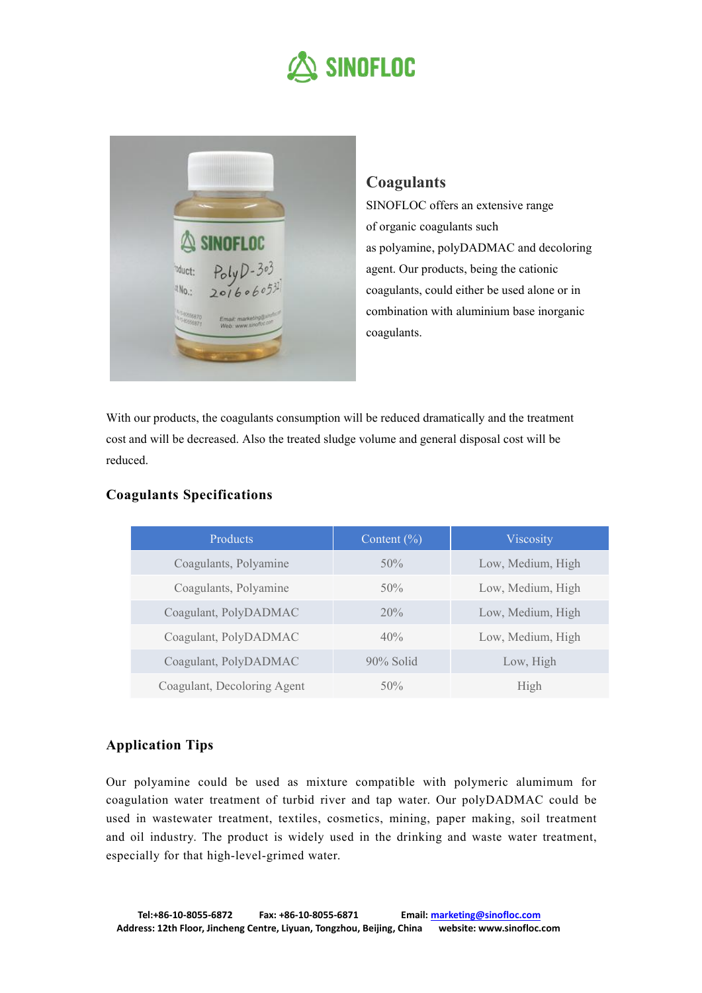## **SINOFLOC**



## **Coagulants**

SINOFLOC offers an extensive range of organic coagulants such as polyamine, polyDADMAC and decoloring agent. Our products, being the cationic coagulants, could either be used alone or in combination with aluminium base inorganic coagulants.

With our products, the coagulants consumption will be reduced dramatically and the treatment cost and will be decreased. Also the treated sludge volume and general disposal cost will be reduced.

| Products                    | Content $(\% )$ | Viscosity         |
|-----------------------------|-----------------|-------------------|
| Coagulants, Polyamine       | 50%             | Low, Medium, High |
| Coagulants, Polyamine       | 50%             | Low, Medium, High |
| Coagulant, PolyDADMAC       | 20%             | Low, Medium, High |
| Coagulant, PolyDADMAC       | 40%             | Low, Medium, High |
| Coagulant, PolyDADMAC       | $90\%$ Solid    | Low, High         |
| Coagulant, Decoloring Agent | 50%             | High              |

## **Coagulants Specifications**

## **Application Tips**

Our polyamine could be used as mixture compatible with polymeric alumimum for coagulation water treatment of turbid river and tap water. Our polyDADMAC could be used in wastewater treatment, textiles, cosmetics, mining, paper making, soil treatment and oil industry. The product is widely used in the drinking and waste water treatment, especially for that high-level-grimed water.